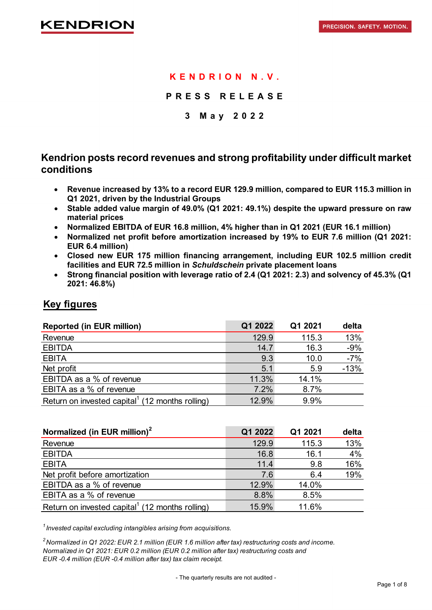## **KENDRION N.V.**

**PRESS RELEASE**

### **3 May 2 0 2 2**

## **Kendrion posts record revenues and strong profitability under difficult market conditions**

- **Revenue increased by 13% to a record EUR 129.9 million, compared to EUR 115.3 million in Q1 2021, driven by the Industrial Groups**
- **Stable added value margin of 49.0% (Q1 2021: 49.1%) despite the upward pressure on raw material prices**
- **Normalized EBITDA of EUR 16.8 million, 4% higher than in Q1 2021 (EUR 16.1 million)**
- **Normalized net profit before amortization increased by 19% to EUR 7.6 million (Q1 2021: EUR 6.4 million)**
- **Closed new EUR 175 million financing arrangement, including EUR 102.5 million credit facilities and EUR 72.5 million in** *Schuldschein* **private placement loans**
- **Strong financial position with leverage ratio of 2.4 (Q1 2021: 2.3) and solvency of 45.3% (Q1 2021: 46.8%)**

## **Key figures**

| <b>Reported (in EUR million)</b>                            | Q1 2022 | Q1 2021 | delta  |
|-------------------------------------------------------------|---------|---------|--------|
| Revenue                                                     | 129.9   | 115.3   | 13%    |
| <b>EBITDA</b>                                               | 14.7    | 16.3    | $-9%$  |
| <b>EBITA</b>                                                | 9.3     | 10.0    | $-7%$  |
| Net profit                                                  | 5.1     | 5.9     | $-13%$ |
| EBITDA as a % of revenue                                    | 11.3%   | 14.1%   |        |
| EBITA as a % of revenue                                     | 7.2%    | 8.7%    |        |
| Return on invested capital <sup>1</sup> (12 months rolling) | 12.9%   | 9.9%    |        |

| Normalized (in EUR million) <sup>2</sup>                    | Q1 2022 | Q1 2021 | delta |
|-------------------------------------------------------------|---------|---------|-------|
| Revenue                                                     | 129.9   | 115.3   | 13%   |
| <b>EBITDA</b>                                               | 16.8    | 16.1    | 4%    |
| <b>EBITA</b>                                                | 11.4    | 9.8     | 16%   |
| Net profit before amortization                              | 7.6     | 6.4     | 19%   |
| EBITDA as a % of revenue                                    | 12.9%   | 14.0%   |       |
| EBITA as a % of revenue                                     | 8.8%    | 8.5%    |       |
| Return on invested capital <sup>1</sup> (12 months rolling) | 15.9%   | 11.6%   |       |

*<sup>1</sup> Invested capital excluding intangibles arising from acquisitions.*

*2Normalized in Q1 2022: EUR 2.1 million (EUR 1.6 million after tax) restructuring costs and income. Normalized in Q1 2021: EUR 0.2 million (EUR 0.2 million after tax) restructuring costs and EUR -0.4 million (EUR -0.4 million after tax) tax claim receipt.*

- The quarterly results are not audited -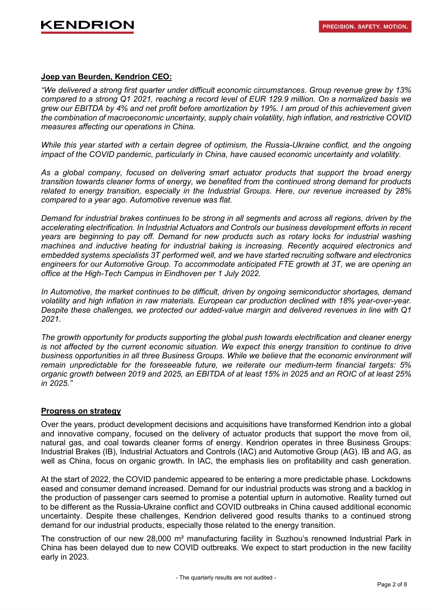#### **Joep van Beurden, Kendrion CEO:**

*"We delivered a strong first quarter under difficult economic circumstances. Group revenue grew by 13% compared to a strong Q1 2021, reaching a record level of EUR 129.9 million. On a normalized basis we grew our EBITDA by 4% and net profit before amortization by 19%. I am proud of this achievement given the combination of macroeconomic uncertainty, supply chain volatility, high inflation, and restrictive COVID measures affecting our operations in China.* 

*While this year started with a certain degree of optimism, the Russia-Ukraine conflict, and the ongoing impact of the COVID pandemic, particularly in China, have caused economic uncertainty and volatility.*

*As a global company, focused on delivering smart actuator products that support the broad energy transition towards cleaner forms of energy, we benefited from the continued strong demand for products related to energy transition, especially in the Industrial Groups. Here, our revenue increased by 28% compared to a year ago. Automotive revenue was flat.* 

*Demand for industrial brakes continues to be strong in all segments and across all regions, driven by the accelerating electrification. In Industrial Actuators and Controls our business development efforts in recent years are beginning to pay off. Demand for new products such as rotary locks for industrial washing machines and inductive heating for industrial baking is increasing. Recently acquired electronics and embedded systems specialists 3T performed well, and we have started recruiting software and electronics engineers for our Automotive Group. To accommodate anticipated FTE growth at 3T, we are opening an office at the High-Tech Campus in Eindhoven per 1 July 2022.*

*In Automotive, the market continues to be difficult, driven by ongoing semiconductor shortages, demand volatility and high inflation in raw materials. European car production declined with 18% year-over-year. Despite these challenges, we protected our added-value margin and delivered revenues in line with Q1 2021.*

*The growth opportunity for products supporting the global push towards electrification and cleaner energy is not affected by the current economic situation. We expect this energy transition to continue to drive business opportunities in all three Business Groups. While we believe that the economic environment will remain unpredictable for the foreseeable future, we reiterate our medium-term financial targets: 5% organic growth between 2019 and 2025, an EBITDA of at least 15% in 2025 and an ROIC of at least 25% in 2025."*

#### **Progress on strategy**

Over the years, product development decisions and acquisitions have transformed Kendrion into a global and innovative company, focused on the delivery of actuator products that support the move from oil, natural gas, and coal towards cleaner forms of energy. Kendrion operates in three Business Groups: Industrial Brakes (IB), Industrial Actuators and Controls (IAC) and Automotive Group (AG). IB and AG, as well as China, focus on organic growth. In IAC, the emphasis lies on profitability and cash generation.

At the start of 2022, the COVID pandemic appeared to be entering a more predictable phase. Lockdowns eased and consumer demand increased. Demand for our industrial products was strong and a backlog in the production of passenger cars seemed to promise a potential upturn in automotive. Reality turned out to be different as the Russia-Ukraine conflict and COVID outbreaks in China caused additional economic uncertainty. Despite these challenges, Kendrion delivered good results thanks to a continued strong demand for our industrial products, especially those related to the energy transition.

The construction of our new 28,000 m<sup>2</sup> manufacturing facility in Suzhou's renowned Industrial Park in China has been delayed due to new COVID outbreaks. We expect to start production in the new facility early in 2023.

- The quarterly results are not audited -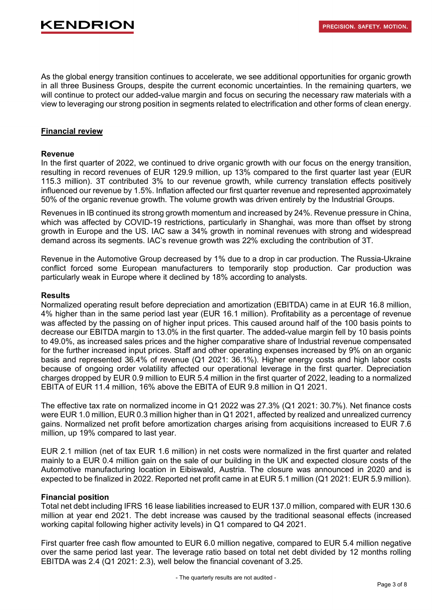As the global energy transition continues to accelerate, we see additional opportunities for organic growth in all three Business Groups, despite the current economic uncertainties. In the remaining quarters, we will continue to protect our added-value margin and focus on securing the necessary raw materials with a view to leveraging our strong position in segments related to electrification and other forms of clean energy.

#### **Financial review**

#### **Revenue**

In the first quarter of 2022, we continued to drive organic growth with our focus on the energy transition, resulting in record revenues of EUR 129.9 million, up 13% compared to the first quarter last year (EUR 115.3 million). 3T contributed 3% to our revenue growth, while currency translation effects positively influenced our revenue by 1.5%. Inflation affected our first quarter revenue and represented approximately 50% of the organic revenue growth. The volume growth was driven entirely by the Industrial Groups.

Revenues in IB continued its strong growth momentum and increased by 24%. Revenue pressure in China, which was affected by COVID-19 restrictions, particularly in Shanghai, was more than offset by strong growth in Europe and the US. IAC saw a 34% growth in nominal revenues with strong and widespread demand across its segments. IAC's revenue growth was 22% excluding the contribution of 3T.

Revenue in the Automotive Group decreased by 1% due to a drop in car production. The Russia-Ukraine conflict forced some European manufacturers to temporarily stop production. Car production was particularly weak in Europe where it declined by 18% according to analysts.

#### **Results**

Normalized operating result before depreciation and amortization (EBITDA) came in at EUR 16.8 million, 4% higher than in the same period last year (EUR 16.1 million). Profitability as a percentage of revenue was affected by the passing on of higher input prices. This caused around half of the 100 basis points to decrease our EBITDA margin to 13.0% in the first quarter. The added-value margin fell by 10 basis points to 49.0%, as increased sales prices and the higher comparative share of Industrial revenue compensated for the further increased input prices. Staff and other operating expenses increased by 9% on an organic basis and represented 36.4% of revenue (Q1 2021: 36.1%). Higher energy costs and high labor costs because of ongoing order volatility affected our operational leverage in the first quarter. Depreciation charges dropped by EUR 0.9 million to EUR 5.4 million in the first quarter of 2022, leading to a normalized EBITA of EUR 11.4 million, 16% above the EBITA of EUR 9.8 million in Q1 2021.

The effective tax rate on normalized income in Q1 2022 was 27.3% (Q1 2021: 30.7%). Net finance costs were EUR 1.0 million, EUR 0.3 million higher than in Q1 2021, affected by realized and unrealized currency gains. Normalized net profit before amortization charges arising from acquisitions increased to EUR 7.6 million, up 19% compared to last year.

EUR 2.1 million (net of tax EUR 1.6 million) in net costs were normalized in the first quarter and related mainly to a EUR 0.4 million gain on the sale of our building in the UK and expected closure costs of the Automotive manufacturing location in Eibiswald, Austria. The closure was announced in 2020 and is expected to be finalized in 2022. Reported net profit came in at EUR 5.1 million (Q1 2021: EUR 5.9 million).

#### **Financial position**

Total net debt including IFRS 16 lease liabilities increased to EUR 137.0 million, compared with EUR 130.6 million at year end 2021. The debt increase was caused by the traditional seasonal effects (increased working capital following higher activity levels) in Q1 compared to Q4 2021.

First quarter free cash flow amounted to EUR 6.0 million negative, compared to EUR 5.4 million negative over the same period last year. The leverage ratio based on total net debt divided by 12 months rolling EBITDA was 2.4 (Q1 2021: 2.3), well below the financial covenant of 3.25.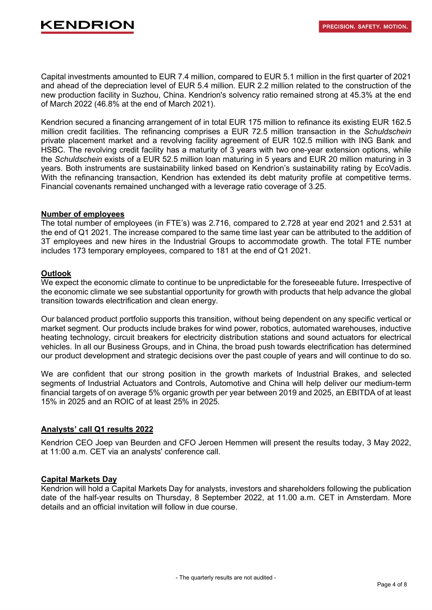Capital investments amounted to EUR 7.4 million, compared to EUR 5.1 million in the first quarter of 2021 and ahead of the depreciation level of EUR 5.4 million. EUR 2.2 million related to the construction of the new production facility in Suzhou, China. Kendrion's solvency ratio remained strong at 45.3% at the end of March 2022 (46.8% at the end of March 2021).

Kendrion secured a financing arrangement of in total EUR 175 million to refinance its existing EUR 162.5 million credit facilities. The refinancing comprises a EUR 72.5 million transaction in the *Schuldschein* private placement market and a revolving facility agreement of EUR 102.5 million with ING Bank and HSBC. The revolving credit facility has a maturity of 3 years with two one-year extension options, while the *Schuldschein* exists of a EUR 52.5 million loan maturing in 5 years and EUR 20 million maturing in 3 years. Both instruments are sustainability linked based on Kendrion's sustainability rating by EcoVadis. With the refinancing transaction, Kendrion has extended its debt maturity profile at competitive terms. Financial covenants remained unchanged with a leverage ratio coverage of 3.25.

#### **Number of employees**

The total number of employees (in FTE's) was 2.716, compared to 2.728 at year end 2021 and 2.531 at the end of Q1 2021. The increase compared to the same time last year can be attributed to the addition of 3T employees and new hires in the Industrial Groups to accommodate growth. The total FTE number includes 173 temporary employees, compared to 181 at the end of Q1 2021.

#### **Outlook**

We expect the economic climate to continue to be unpredictable for the foreseeable future**.** Irrespective of the economic climate we see substantial opportunity for growth with products that help advance the global transition towards electrification and clean energy.

Our balanced product portfolio supports this transition, without being dependent on any specific vertical or market segment. Our products include brakes for wind power, robotics, automated warehouses, inductive heating technology, circuit breakers for electricity distribution stations and sound actuators for electrical vehicles. In all our Business Groups, and in China, the broad push towards electrification has determined our product development and strategic decisions over the past couple of years and will continue to do so.

We are confident that our strong position in the growth markets of Industrial Brakes, and selected segments of Industrial Actuators and Controls, Automotive and China will help deliver our medium-term financial targets of on average 5% organic growth per year between 2019 and 2025, an EBITDA of at least 15% in 2025 and an ROIC of at least 25% in 2025.

#### **Analysts' call Q1 results 2022**

Kendrion CEO Joep van Beurden and CFO Jeroen Hemmen will present the results today, 3 May 2022, at 11:00 a.m. CET via an analysts' conference call.

#### **Capital Markets Day**

Kendrion will hold a Capital Markets Day for analysts, investors and shareholders following the publication date of the half-year results on Thursday, 8 September 2022, at 11.00 a.m. CET in Amsterdam. More details and an official invitation will follow in due course.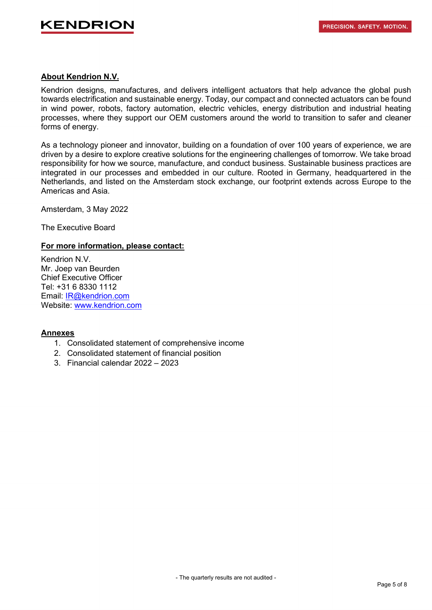

#### **About Kendrion N.V.**

Kendrion designs, manufactures, and delivers intelligent actuators that help advance the global push towards electrification and sustainable energy. Today, our compact and connected actuators can be found in wind power, robots, factory automation, electric vehicles, energy distribution and industrial heating processes, where they support our OEM customers around the world to transition to safer and cleaner forms of energy.

As a technology pioneer and innovator, building on a foundation of over 100 years of experience, we are driven by a desire to explore creative solutions for the engineering challenges of tomorrow. We take broad responsibility for how we source, manufacture, and conduct business. Sustainable business practices are integrated in our processes and embedded in our culture. Rooted in Germany, headquartered in the Netherlands, and listed on the Amsterdam stock exchange, our footprint extends across Europe to the Americas and Asia.

Amsterdam, 3 May 2022

The Executive Board

#### **For more information, please contact:**

Kendrion N.V. Mr. Joep van Beurden Chief Executive Officer Tel: +31 6 8330 1112 Email: [IR@kendrion.com](mailto:IR@kendrion.com) Website: [www.kendrion.com](http://www.kendrion.com/)

#### **Annexes**

- 1. Consolidated statement of comprehensive income
- 2. Consolidated statement of financial position
- 3. Financial calendar 2022 2023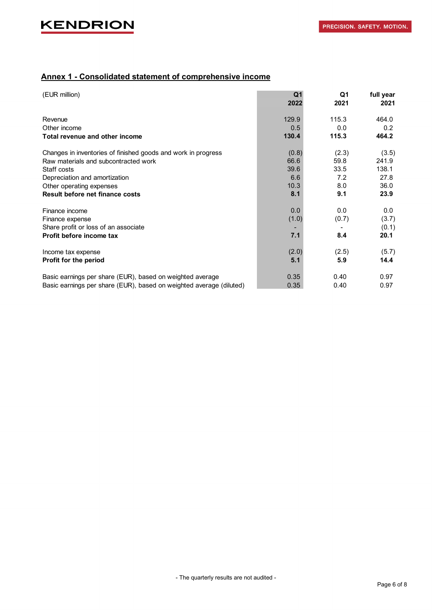### **Annex 1 - Consolidated statement of comprehensive income**

| (EUR million)                                                       | Q <sub>1</sub><br>2022 | Q1<br>2021 | full year<br>2021 |
|---------------------------------------------------------------------|------------------------|------------|-------------------|
| Revenue                                                             | 129.9                  | 115.3      | 464.0             |
| Other income                                                        | 0.5                    | 0.0        | 0.2               |
| Total revenue and other income                                      | 130.4                  | 115.3      | 464.2             |
| Changes in inventories of finished goods and work in progress       | (0.8)                  | (2.3)      | (3.5)             |
| Raw materials and subcontracted work                                | 66.6                   | 59.8       | 241.9             |
| Staff costs                                                         | 39.6                   | 33.5       | 138.1             |
| Depreciation and amortization                                       | 6.6                    | 7.2        | 27.8              |
| Other operating expenses                                            | 10.3                   | 8.0        | 36.0              |
| Result before net finance costs                                     | 8.1                    | 9.1        | 23.9              |
| Finance income                                                      | 0.0                    | 0.0        | 0.0               |
| Finance expense                                                     | (1.0)                  | (0.7)      | (3.7)             |
| Share profit or loss of an associate                                |                        |            | (0.1)             |
| Profit before income tax                                            | 7.1                    | 8.4        | 20.1              |
| Income tax expense                                                  | (2.0)                  | (2.5)      | (5.7)             |
| Profit for the period                                               | 5.1                    | 5.9        | 14.4              |
| Basic earnings per share (EUR), based on weighted average           | 0.35                   | 0.40       | 0.97              |
| Basic earnings per share (EUR), based on weighted average (diluted) | 0.35                   | 0.40       | 0.97              |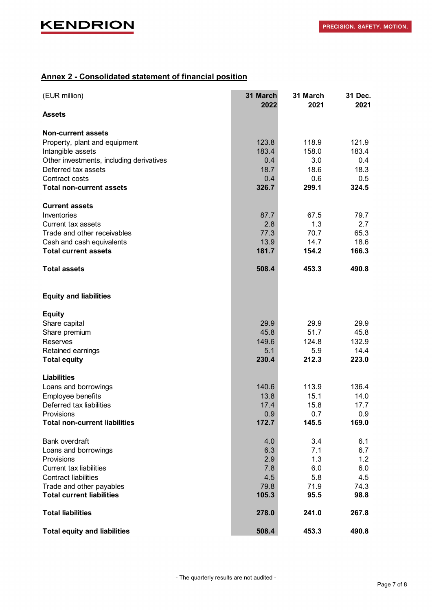## **Annex 2 - Consolidated statement of financial position**

| (EUR million)                            | 31 March<br>2022 | 31 March<br>2021 | 31 Dec.<br>2021 |
|------------------------------------------|------------------|------------------|-----------------|
| <b>Assets</b>                            |                  |                  |                 |
| <b>Non-current assets</b>                |                  |                  |                 |
| Property, plant and equipment            | 123.8            | 118.9            | 121.9           |
| Intangible assets                        | 183.4            | 158.0            | 183.4           |
| Other investments, including derivatives | 0.4              | 3.0              | 0.4             |
| Deferred tax assets                      | 18.7             | 18.6             | 18.3            |
| Contract costs                           | 0.4              | 0.6              | 0.5             |
| <b>Total non-current assets</b>          | 326.7            | 299.1            | 324.5           |
| <b>Current assets</b>                    |                  |                  |                 |
| Inventories                              | 87.7             | 67.5             | 79.7            |
| Current tax assets                       | 2.8              | 1.3              | 2.7             |
| Trade and other receivables              | 77.3             | 70.7             | 65.3            |
| Cash and cash equivalents                | 13.9             | 14.7             | 18.6            |
| <b>Total current assets</b>              | 181.7            | 154.2            | 166.3           |
| <b>Total assets</b>                      | 508.4            | 453.3            | 490.8           |
| <b>Equity and liabilities</b>            |                  |                  |                 |
| <b>Equity</b>                            |                  |                  |                 |
| Share capital                            | 29.9             | 29.9             | 29.9            |
| Share premium                            | 45.8             | 51.7             | 45.8            |
| <b>Reserves</b>                          | 149.6            | 124.8            | 132.9           |
| Retained earnings                        | 5.1              | 5.9              | 14.4            |
| <b>Total equity</b>                      | 230.4            | 212.3            | 223.0           |
| <b>Liabilities</b>                       |                  |                  |                 |
| Loans and borrowings                     | 140.6            | 113.9            | 136.4           |
| Employee benefits                        | 13.8             | 15.1             | 14.0            |
| Deferred tax liabilities                 | 17.4             | 15.8             | 17.7            |
| Provisions                               | 0.9              | 0.7              | 0.9             |
| <b>Total non-current liabilities</b>     | 172.7            | 145.5            | 169.0           |
| Bank overdraft                           | 4.0              | 3.4              | 6.1             |
| Loans and borrowings                     | 6.3              | 7.1              | 6.7             |
| Provisions                               | 2.9              | 1.3              | 1.2             |
| <b>Current tax liabilities</b>           | 7.8              | 6.0              | 6.0             |
| <b>Contract liabilities</b>              | 4.5              | 5.8              | 4.5             |
| Trade and other payables                 | 79.8             | 71.9             | 74.3            |
| <b>Total current liabilities</b>         | 105.3            | 95.5             | 98.8            |
| <b>Total liabilities</b>                 | 278.0            | 241.0            | 267.8           |
| <b>Total equity and liabilities</b>      | 508.4            | 453.3            | 490.8           |